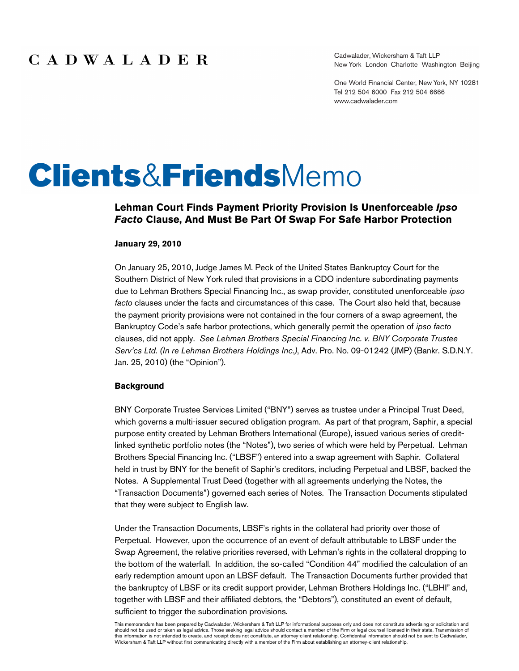Cadwalader, Wickersham & Taft LLP New York London Charlotte Washington Beijing

One World Financial Center, New York, NY 10281 Tel 212 504 6000 Fax 212 504 6666 www.cadwalader.com

# **Clients&Friends**Memo

#### **Lehman Court Finds Payment Priority Provision Is Unenforceable** *Ipso Facto* **Clause, And Must Be Part Of Swap For Safe Harbor Protection**

#### **January 29, 2010**

On January 25, 2010, Judge James M. Peck of the United States Bankruptcy Court for the Southern District of New York ruled that provisions in a CDO indenture subordinating payments due to Lehman Brothers Special Financing Inc., as swap provider, constituted unenforceable *ipso facto* clauses under the facts and circumstances of this case. The Court also held that, because the payment priority provisions were not contained in the four corners of a swap agreement, the Bankruptcy Code's safe harbor protections, which generally permit the operation of *ipso facto*  clauses, did not apply. *See Lehman Brothers Special Financing Inc. v. BNY Corporate Trustee Serv'cs Ltd. (In re Lehman Brothers Holdings Inc.)*, Adv. Pro. No. 09-01242 (JMP) (Bankr. S.D.N.Y. Jan. 25, 2010) (the "Opinion").

#### **Background**

BNY Corporate Trustee Services Limited ("BNY") serves as trustee under a Principal Trust Deed, which governs a multi-issuer secured obligation program. As part of that program, Saphir, a special purpose entity created by Lehman Brothers International (Europe), issued various series of creditlinked synthetic portfolio notes (the "Notes"), two series of which were held by Perpetual. Lehman Brothers Special Financing Inc. ("LBSF") entered into a swap agreement with Saphir. Collateral held in trust by BNY for the benefit of Saphir's creditors, including Perpetual and LBSF, backed the Notes. A Supplemental Trust Deed (together with all agreements underlying the Notes, the "Transaction Documents") governed each series of Notes. The Transaction Documents stipulated that they were subject to English law.

Under the Transaction Documents, LBSF's rights in the collateral had priority over those of Perpetual. However, upon the occurrence of an event of default attributable to LBSF under the Swap Agreement, the relative priorities reversed, with Lehman's rights in the collateral dropping to the bottom of the waterfall. In addition, the so-called "Condition 44" modified the calculation of an early redemption amount upon an LBSF default. The Transaction Documents further provided that the bankruptcy of LBSF or its credit support provider, Lehman Brothers Holdings Inc. ("LBHI" and, together with LBSF and their affiliated debtors, the "Debtors"), constituted an event of default, sufficient to trigger the subordination provisions.

This memorandum has been prepared by Cadwalader, Wickersham & Taft LLP for informational purposes only and does not constitute advertising or solicitation and should not be used or taken as legal advice. Those seeking legal advice should contact a member of the Firm or legal counsel licensed in their state. Transmission of this information is not intended to create, and receipt does not constitute, an attorney-client relationship. Confidential information should not be sent to Cadwalader,<br>Wickersham & Taft LLP without first communicating dir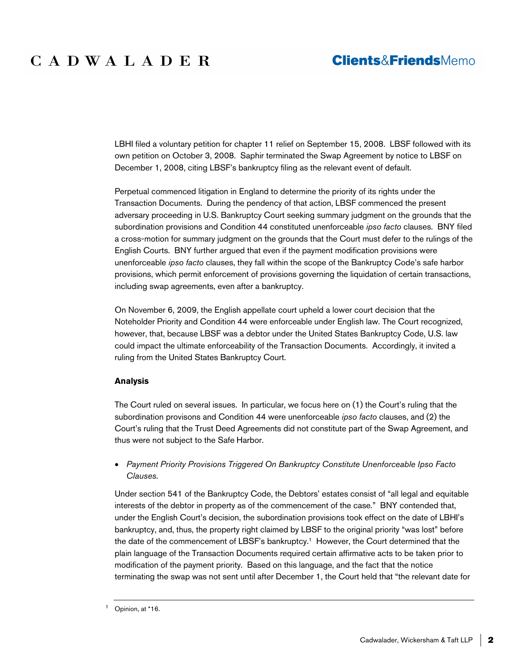# CADWALADER

### **Clients&FriendsMemo**

LBHI filed a voluntary petition for chapter 11 relief on September 15, 2008. LBSF followed with its own petition on October 3, 2008. Saphir terminated the Swap Agreement by notice to LBSF on December 1, 2008, citing LBSF's bankruptcy filing as the relevant event of default.

Perpetual commenced litigation in England to determine the priority of its rights under the Transaction Documents. During the pendency of that action, LBSF commenced the present adversary proceeding in U.S. Bankruptcy Court seeking summary judgment on the grounds that the subordination provisions and Condition 44 constituted unenforceable *ipso facto* clauses. BNY filed a cross-motion for summary judgment on the grounds that the Court must defer to the rulings of the English Courts. BNY further argued that even if the payment modification provisions were unenforceable *ipso facto* clauses, they fall within the scope of the Bankruptcy Code's safe harbor provisions, which permit enforcement of provisions governing the liquidation of certain transactions, including swap agreements, even after a bankruptcy.

On November 6, 2009, the English appellate court upheld a lower court decision that the Noteholder Priority and Condition 44 were enforceable under English law. The Court recognized, however, that, because LBSF was a debtor under the United States Bankruptcy Code, U.S. law could impact the ultimate enforceability of the Transaction Documents. Accordingly, it invited a ruling from the United States Bankruptcy Court.

#### **Analysis**

The Court ruled on several issues. In particular, we focus here on (1) the Court's ruling that the subordination provisons and Condition 44 were unenforceable *ipso facto* clauses, and (2) the Court's ruling that the Trust Deed Agreements did not constitute part of the Swap Agreement, and thus were not subject to the Safe Harbor.

 *Payment Priority Provisions Triggered On Bankruptcy Constitute Unenforceable Ipso Facto Clauses.* 

Under section 541 of the Bankruptcy Code, the Debtors' estates consist of "all legal and equitable interests of the debtor in property as of the commencement of the case." BNY contended that, under the English Court's decision, the subordination provisions took effect on the date of LBHI's bankruptcy, and, thus, the property right claimed by LBSF to the original priority "was lost" before the date of the commencement of LBSF's bankruptcy.<sup>1</sup> However, the Court determined that the plain language of the Transaction Documents required certain affirmative acts to be taken prior to modification of the payment priority. Based on this language, and the fact that the notice terminating the swap was not sent until after December 1, the Court held that "the relevant date for

<sup>&</sup>lt;sup>1</sup> Opinion, at \*16.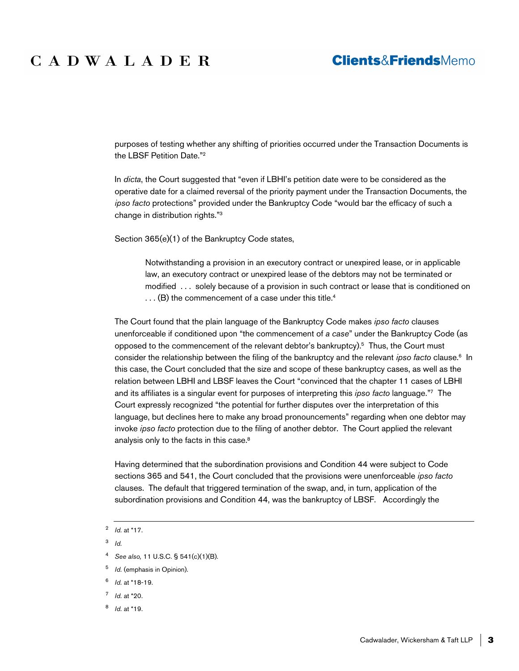# CADWALADER

### **Clients&FriendsMemo**

purposes of testing whether any shifting of priorities occurred under the Transaction Documents is the LBSF Petition Date."<sup>2</sup>

In *dicta*, the Court suggested that "even if LBHI's petition date were to be considered as the operative date for a claimed reversal of the priority payment under the Transaction Documents, the *ipso facto* protections" provided under the Bankruptcy Code "would bar the efficacy of such a change in distribution rights."<sup>3</sup>

Section 365(e)(1) of the Bankruptcy Code states,

Notwithstanding a provision in an executory contract or unexpired lease, or in applicable law, an executory contract or unexpired lease of the debtors may not be terminated or modified . . . solely because of a provision in such contract or lease that is conditioned on ... (B) the commencement of a case under this title.<sup>4</sup>

The Court found that the plain language of the Bankruptcy Code makes *ipso facto* clauses unenforceable if conditioned upon "the commencement of *a case*" under the Bankruptcy Code (as opposed to the commencement of the relevant debtor's bankruptcy). $5$  Thus, the Court must consider the relationship between the filing of the bankruptcy and the relevant *ipso facto* clause.<sup>6</sup> In this case, the Court concluded that the size and scope of these bankruptcy cases, as well as the relation between LBHI and LBSF leaves the Court "convinced that the chapter 11 cases of LBHI and its affiliates is a singular event for purposes of interpreting this *ipso facto* language."<sup>7</sup> The Court expressly recognized "the potential for further disputes over the interpretation of this language, but declines here to make any broad pronouncements" regarding when one debtor may invoke *ipso facto* protection due to the filing of another debtor. The Court applied the relevant analysis only to the facts in this case.<sup>8</sup>

Having determined that the subordination provisions and Condition 44 were subject to Code sections 365 and 541, the Court concluded that the provisions were unenforceable *ipso facto*  clauses. The default that triggered termination of the swap, and, in turn, application of the subordination provisions and Condition 44, was the bankruptcy of LBSF. Accordingly the

- 6 *Id.* at \*18-19.
- 7 *Id.* at \*20.
- 8 *Id.* at \*19.

<sup>2</sup> *Id.* at \*17.

<sup>3</sup> *Id.*

<sup>4</sup> *See also,* 11 U.S.C. § 541(c)(1)(B).

<sup>5</sup> *Id.* (emphasis in Opinion).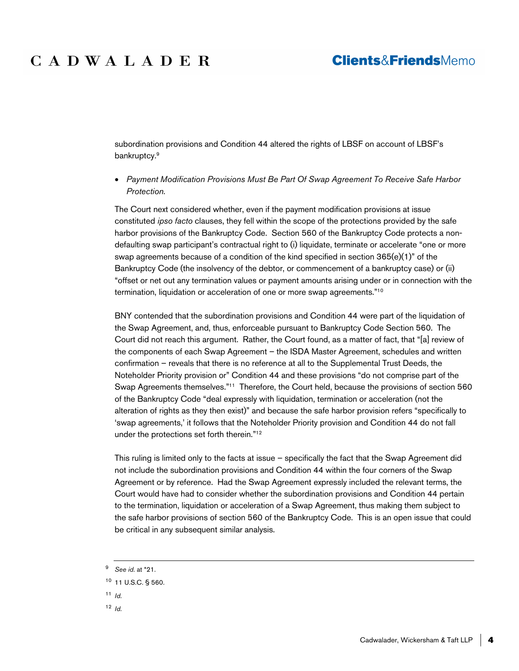### **Clients&FriendsMemo**

# CADWALADER

subordination provisions and Condition 44 altered the rights of LBSF on account of LBSF's bankruptcy.<sup>9</sup>

 *Payment Modification Provisions Must Be Part Of Swap Agreement To Receive Safe Harbor Protection.* 

The Court next considered whether, even if the payment modification provisions at issue constituted *ipso facto* clauses, they fell within the scope of the protections provided by the safe harbor provisions of the Bankruptcy Code. Section 560 of the Bankruptcy Code protects a nondefaulting swap participant's contractual right to (i) liquidate, terminate or accelerate "one or more swap agreements because of a condition of the kind specified in section  $365(e)(1)$ " of the Bankruptcy Code (the insolvency of the debtor, or commencement of a bankruptcy case) or (ii) "offset or net out any termination values or payment amounts arising under or in connection with the termination, liquidation or acceleration of one or more swap agreements."<sup>10</sup>

BNY contended that the subordination provisions and Condition 44 were part of the liquidation of the Swap Agreement, and, thus, enforceable pursuant to Bankruptcy Code Section 560. The Court did not reach this argument. Rather, the Court found, as a matter of fact, that "[a] review of the components of each Swap Agreement – the ISDA Master Agreement, schedules and written confirmation – reveals that there is no reference at all to the Supplemental Trust Deeds, the Noteholder Priority provision or" Condition 44 and these provisions "do not comprise part of the Swap Agreements themselves."<sup>11</sup> Therefore, the Court held, because the provisions of section 560 of the Bankruptcy Code "deal expressly with liquidation, termination or acceleration (not the alteration of rights as they then exist)" and because the safe harbor provision refers "specifically to 'swap agreements,' it follows that the Noteholder Priority provision and Condition 44 do not fall under the protections set forth therein."<sup>12</sup>

This ruling is limited only to the facts at issue – specifically the fact that the Swap Agreement did not include the subordination provisions and Condition 44 within the four corners of the Swap Agreement or by reference. Had the Swap Agreement expressly included the relevant terms, the Court would have had to consider whether the subordination provisions and Condition 44 pertain to the termination, liquidation or acceleration of a Swap Agreement, thus making them subject to the safe harbor provisions of section 560 of the Bankruptcy Code. This is an open issue that could be critical in any subsequent similar analysis.

- $11$  *Id.*
- $12$  *Id.*

<sup>9</sup> *See id.* at \*21.

<sup>10</sup> 11 U.S.C. § 560.